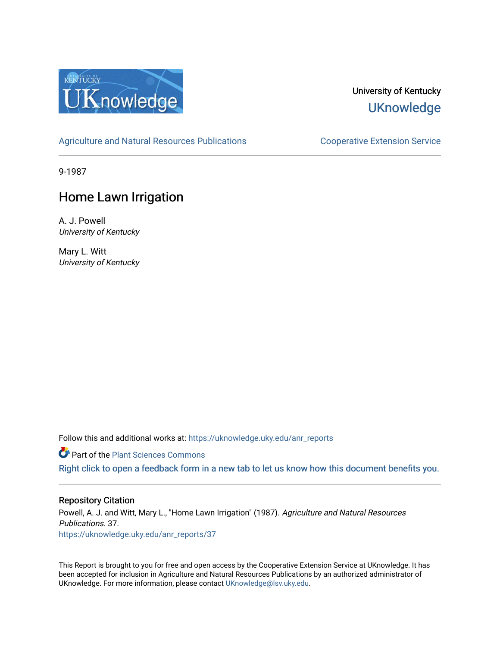

## University of Kentucky **UKnowledge**

[Agriculture and Natural Resources Publications](https://uknowledge.uky.edu/anr_reports) **Cooperative Extension Service** 

9-1987

# Home Lawn Irrigation

A. J. Powell University of Kentucky

Mary L. Witt University of Kentucky

Follow this and additional works at: [https://uknowledge.uky.edu/anr\\_reports](https://uknowledge.uky.edu/anr_reports?utm_source=uknowledge.uky.edu%2Fanr_reports%2F37&utm_medium=PDF&utm_campaign=PDFCoverPages)

**Part of the [Plant Sciences Commons](http://network.bepress.com/hgg/discipline/102?utm_source=uknowledge.uky.edu%2Fanr_reports%2F37&utm_medium=PDF&utm_campaign=PDFCoverPages)** 

[Right click to open a feedback form in a new tab to let us know how this document benefits you.](https://uky.az1.qualtrics.com/jfe/form/SV_9mq8fx2GnONRfz7)

#### Repository Citation

Powell, A. J. and Witt, Mary L., "Home Lawn Irrigation" (1987). Agriculture and Natural Resources Publications. 37. [https://uknowledge.uky.edu/anr\\_reports/37](https://uknowledge.uky.edu/anr_reports/37?utm_source=uknowledge.uky.edu%2Fanr_reports%2F37&utm_medium=PDF&utm_campaign=PDFCoverPages) 

This Report is brought to you for free and open access by the Cooperative Extension Service at UKnowledge. It has been accepted for inclusion in Agriculture and Natural Resources Publications by an authorized administrator of UKnowledge. For more information, please contact [UKnowledge@lsv.uky.edu](mailto:UKnowledge@lsv.uky.edu).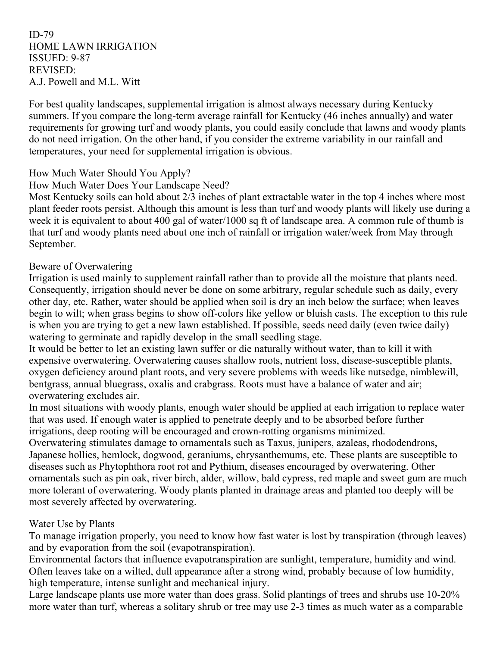ID-79 HOME LAWN IRRIGATION ISSUED: 9-87 REVISED: A.J. Powell and M.L. Witt

For best quality landscapes, supplemental irrigation is almost always necessary during Kentucky summers. If you compare the long-term average rainfall for Kentucky (46 inches annually) and water requirements for growing turf and woody plants, you could easily conclude that lawns and woody plants do not need irrigation. On the other hand, if you consider the extreme variability in our rainfall and temperatures, your need for supplemental irrigation is obvious.

### How Much Water Should You Apply?

How Much Water Does Your Landscape Need?

Most Kentucky soils can hold about 2/3 inches of plant extractable water in the top 4 inches where most plant feeder roots persist. Although this amount is less than turf and woody plants will likely use during a week it is equivalent to about 400 gal of water/1000 sq ft of landscape area. A common rule of thumb is that turf and woody plants need about one inch of rainfall or irrigation water/week from May through September.

#### Beware of Overwatering

Irrigation is used mainly to supplement rainfall rather than to provide all the moisture that plants need. Consequently, irrigation should never be done on some arbitrary, regular schedule such as daily, every other day, etc. Rather, water should be applied when soil is dry an inch below the surface; when leaves begin to wilt; when grass begins to show off-colors like yellow or bluish casts. The exception to this rule is when you are trying to get a new lawn established. If possible, seeds need daily (even twice daily) watering to germinate and rapidly develop in the small seedling stage.

It would be better to let an existing lawn suffer or die naturally without water, than to kill it with expensive overwatering. Overwatering causes shallow roots, nutrient loss, disease-susceptible plants, oxygen deficiency around plant roots, and very severe problems with weeds like nutsedge, nimblewill, bentgrass, annual bluegrass, oxalis and crabgrass. Roots must have a balance of water and air; overwatering excludes air.

In most situations with woody plants, enough water should be applied at each irrigation to replace water that was used. If enough water is applied to penetrate deeply and to be absorbed before further irrigations, deep rooting will be encouraged and crown-rotting organisms minimized.

Overwatering stimulates damage to ornamentals such as Taxus, junipers, azaleas, rhododendrons, Japanese hollies, hemlock, dogwood, geraniums, chrysanthemums, etc. These plants are susceptible to diseases such as Phytophthora root rot and Pythium, diseases encouraged by overwatering. Other ornamentals such as pin oak, river birch, alder, willow, bald cypress, red maple and sweet gum are much more tolerant of overwatering. Woody plants planted in drainage areas and planted too deeply will be most severely affected by overwatering.

#### Water Use by Plants

To manage irrigation properly, you need to know how fast water is lost by transpiration (through leaves) and by evaporation from the soil (evapotranspiration).

Environmental factors that influence evapotranspiration are sunlight, temperature, humidity and wind. Often leaves take on a wilted, dull appearance after a strong wind, probably because of low humidity, high temperature, intense sunlight and mechanical injury.

Large landscape plants use more water than does grass. Solid plantings of trees and shrubs use 10-20% more water than turf, whereas a solitary shrub or tree may use 2-3 times as much water as a comparable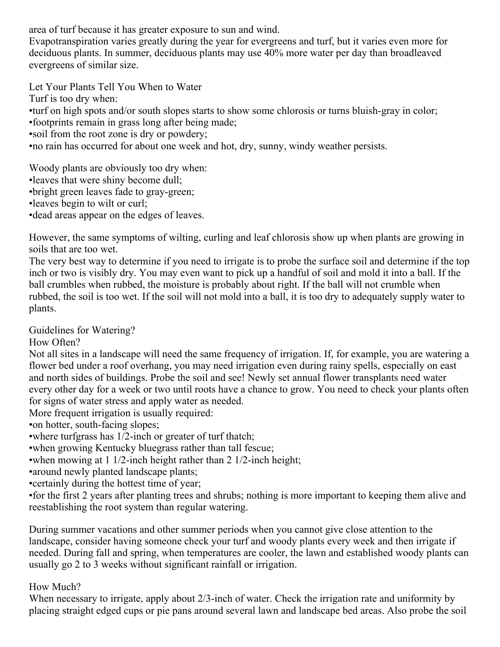area of turf because it has greater exposure to sun and wind.

Evapotranspiration varies greatly during the year for evergreens and turf, but it varies even more for deciduous plants. In summer, deciduous plants may use 40% more water per day than broadleaved evergreens of similar size.

Let Your Plants Tell You When to Water

Turf is too dry when:

•turf on high spots and/or south slopes starts to show some chlorosis or turns bluish-gray in color;

•footprints remain in grass long after being made;

•soil from the root zone is dry or powdery;

•no rain has occurred for about one week and hot, dry, sunny, windy weather persists.

Woody plants are obviously too dry when:

- •leaves that were shiny become dull;
- •bright green leaves fade to gray-green;
- •leaves begin to wilt or curl;

•dead areas appear on the edges of leaves.

However, the same symptoms of wilting, curling and leaf chlorosis show up when plants are growing in soils that are too wet.

The very best way to determine if you need to irrigate is to probe the surface soil and determine if the top inch or two is visibly dry. You may even want to pick up a handful of soil and mold it into a ball. If the ball crumbles when rubbed, the moisture is probably about right. If the ball will not crumble when rubbed, the soil is too wet. If the soil will not mold into a ball, it is too dry to adequately supply water to plants.

Guidelines for Watering?

How Often?

Not all sites in a landscape will need the same frequency of irrigation. If, for example, you are watering a flower bed under a roof overhang, you may need irrigation even during rainy spells, especially on east and north sides of buildings. Probe the soil and see! Newly set annual flower transplants need water every other day for a week or two until roots have a chance to grow. You need to check your plants often for signs of water stress and apply water as needed.

More frequent irrigation is usually required:

•on hotter, south-facing slopes;

•where turfgrass has 1/2-inch or greater of turf thatch;

•when growing Kentucky bluegrass rather than tall fescue;

•when mowing at 1 1/2-inch height rather than 2 1/2-inch height;

•around newly planted landscape plants;

•certainly during the hottest time of year;

•for the first 2 years after planting trees and shrubs; nothing is more important to keeping them alive and reestablishing the root system than regular watering.

During summer vacations and other summer periods when you cannot give close attention to the landscape, consider having someone check your turf and woody plants every week and then irrigate if needed. During fall and spring, when temperatures are cooler, the lawn and established woody plants can usually go 2 to 3 weeks without significant rainfall or irrigation.

How Much?

When necessary to irrigate, apply about 2/3-inch of water. Check the irrigation rate and uniformity by placing straight edged cups or pie pans around several lawn and landscape bed areas. Also probe the soil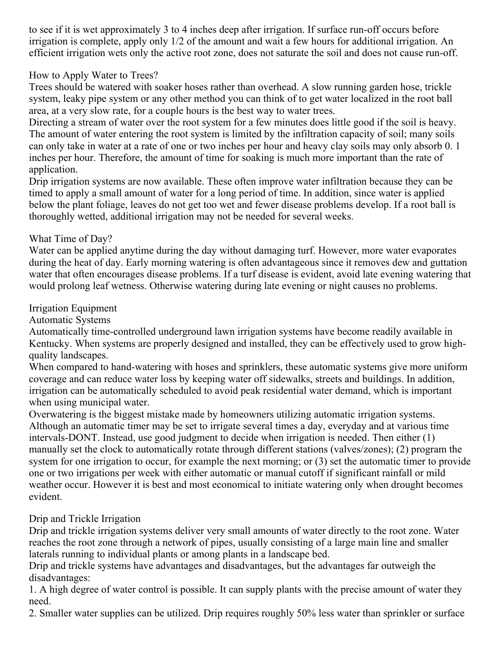to see if it is wet approximately 3 to 4 inches deep after irrigation. If surface run-off occurs before irrigation is complete, apply only 1/2 of the amount and wait a few hours for additional irrigation. An efficient irrigation wets only the active root zone, does not saturate the soil and does not cause run-off.

How to Apply Water to Trees?

Trees should be watered with soaker hoses rather than overhead. A slow running garden hose, trickle system, leaky pipe system or any other method you can think of to get water localized in the root ball area, at a very slow rate, for a couple hours is the best way to water trees.

Directing a stream of water over the root system for a few minutes does little good if the soil is heavy. The amount of water entering the root system is limited by the infiltration capacity of soil; many soils can only take in water at a rate of one or two inches per hour and heavy clay soils may only absorb 0. 1 inches per hour. Therefore, the amount of time for soaking is much more important than the rate of application.

Drip irrigation systems are now available. These often improve water infiltration because they can be timed to apply a small amount of water for a long period of time. In addition, since water is applied below the plant foliage, leaves do not get too wet and fewer disease problems develop. If a root ball is thoroughly wetted, additional irrigation may not be needed for several weeks.

## What Time of Day?

Water can be applied anytime during the day without damaging turf. However, more water evaporates during the heat of day. Early morning watering is often advantageous since it removes dew and guttation water that often encourages disease problems. If a turf disease is evident, avoid late evening watering that would prolong leaf wetness. Otherwise watering during late evening or night causes no problems.

## Irrigation Equipment

Automatic Systems

Automatically time-controlled underground lawn irrigation systems have become readily available in Kentucky. When systems are properly designed and installed, they can be effectively used to grow highquality landscapes.

When compared to hand-watering with hoses and sprinklers, these automatic systems give more uniform coverage and can reduce water loss by keeping water off sidewalks, streets and buildings. In addition, irrigation can be automatically scheduled to avoid peak residential water demand, which is important when using municipal water.

Overwatering is the biggest mistake made by homeowners utilizing automatic irrigation systems. Although an automatic timer may be set to irrigate several times a day, everyday and at various time intervals-DONT. Instead, use good judgment to decide when irrigation is needed. Then either (1) manually set the clock to automatically rotate through different stations (valves/zones); (2) program the system for one irrigation to occur, for example the next morning; or (3) set the automatic timer to provide one or two irrigations per week with either automatic or manual cutoff if significant rainfall or mild weather occur. However it is best and most economical to initiate watering only when drought becomes evident.

## Drip and Trickle Irrigation

Drip and trickle irrigation systems deliver very small amounts of water directly to the root zone. Water reaches the root zone through a network of pipes, usually consisting of a large main line and smaller laterals running to individual plants or among plants in a landscape bed.

Drip and trickle systems have advantages and disadvantages, but the advantages far outweigh the disadvantages:

1. A high degree of water control is possible. It can supply plants with the precise amount of water they need.

2. Smaller water supplies can be utilized. Drip requires roughly 50% less water than sprinkler or surface